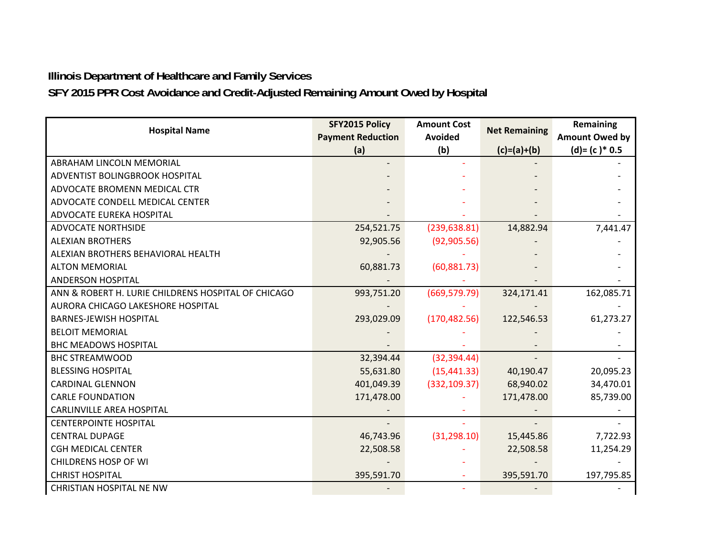## **Illinois Department of Healthcare and Family Services**

**SFY 2015 PPR Cost Avoidance and Credit-Adjusted Remaining Amount Owed by Hospital** 

| <b>Hospital Name</b>                                | SFY2015 Policy           | <b>Amount Cost</b> |                      | <b>Remaining</b>      |
|-----------------------------------------------------|--------------------------|--------------------|----------------------|-----------------------|
|                                                     | <b>Payment Reduction</b> | <b>Avoided</b>     | <b>Net Remaining</b> | <b>Amount Owed by</b> |
|                                                     | (a)                      | (b)                | $(c)=(a)+(b)$        | $(d)=(c)*0.5$         |
| ABRAHAM LINCOLN MEMORIAL                            |                          |                    |                      |                       |
| ADVENTIST BOLINGBROOK HOSPITAL                      |                          |                    |                      |                       |
| ADVOCATE BROMENN MEDICAL CTR                        |                          |                    |                      |                       |
| ADVOCATE CONDELL MEDICAL CENTER                     |                          |                    |                      |                       |
| ADVOCATE EUREKA HOSPITAL                            |                          |                    |                      |                       |
| <b>ADVOCATE NORTHSIDE</b>                           | 254,521.75               | (239, 638.81)      | 14,882.94            | 7,441.47              |
| <b>ALEXIAN BROTHERS</b>                             | 92,905.56                | (92, 905.56)       |                      |                       |
| ALEXIAN BROTHERS BEHAVIORAL HEALTH                  |                          |                    |                      |                       |
| <b>ALTON MEMORIAL</b>                               | 60,881.73                | (60, 881.73)       |                      |                       |
| <b>ANDERSON HOSPITAL</b>                            |                          |                    |                      |                       |
| ANN & ROBERT H. LURIE CHILDRENS HOSPITAL OF CHICAGO | 993,751.20               | (669, 579.79)      | 324,171.41           | 162,085.71            |
| AURORA CHICAGO LAKESHORE HOSPITAL                   |                          |                    |                      |                       |
| <b>BARNES-JEWISH HOSPITAL</b>                       | 293,029.09               | (170, 482.56)      | 122,546.53           | 61,273.27             |
| <b>BELOIT MEMORIAL</b>                              |                          |                    |                      |                       |
| <b>BHC MEADOWS HOSPITAL</b>                         |                          |                    |                      |                       |
| <b>BHC STREAMWOOD</b>                               | 32,394.44                | (32, 394.44)       |                      |                       |
| <b>BLESSING HOSPITAL</b>                            | 55,631.80                | (15, 441.33)       | 40,190.47            | 20,095.23             |
| <b>CARDINAL GLENNON</b>                             | 401,049.39               | (332, 109.37)      | 68,940.02            | 34,470.01             |
| <b>CARLE FOUNDATION</b>                             | 171,478.00               |                    | 171,478.00           | 85,739.00             |
| <b>CARLINVILLE AREA HOSPITAL</b>                    |                          |                    |                      |                       |
| <b>CENTERPOINTE HOSPITAL</b>                        |                          |                    |                      |                       |
| <b>CENTRAL DUPAGE</b>                               | 46,743.96                | (31, 298.10)       | 15,445.86            | 7,722.93              |
| <b>CGH MEDICAL CENTER</b>                           | 22,508.58                |                    | 22,508.58            | 11,254.29             |
| <b>CHILDRENS HOSP OF WI</b>                         |                          |                    |                      |                       |
| <b>CHRIST HOSPITAL</b>                              | 395,591.70               |                    | 395,591.70           | 197,795.85            |
| <b>CHRISTIAN HOSPITAL NE NW</b>                     |                          |                    |                      |                       |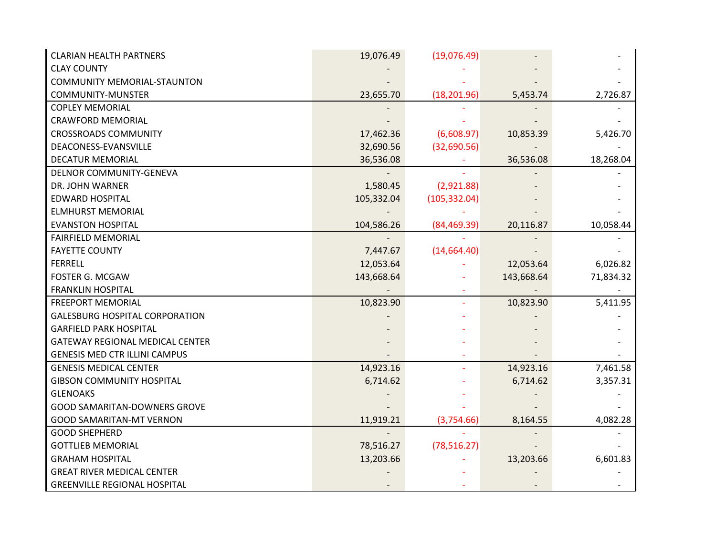| <b>CLARIAN HEALTH PARTNERS</b>         | 19,076.49  | (19,076.49)   |            |           |
|----------------------------------------|------------|---------------|------------|-----------|
| <b>CLAY COUNTY</b>                     |            |               |            |           |
| <b>COMMUNITY MEMORIAL-STAUNTON</b>     |            |               |            |           |
| <b>COMMUNITY-MUNSTER</b>               | 23,655.70  | (18, 201.96)  | 5,453.74   | 2,726.87  |
| <b>COPLEY MEMORIAL</b>                 |            |               |            |           |
| <b>CRAWFORD MEMORIAL</b>               |            |               |            |           |
| <b>CROSSROADS COMMUNITY</b>            | 17,462.36  | (6,608.97)    | 10,853.39  | 5,426.70  |
| DEACONESS-EVANSVILLE                   | 32,690.56  | (32,690.56)   |            |           |
| <b>DECATUR MEMORIAL</b>                | 36,536.08  |               | 36,536.08  | 18,268.04 |
| DELNOR COMMUNITY-GENEVA                |            |               |            |           |
| DR. JOHN WARNER                        | 1,580.45   | (2,921.88)    |            |           |
| <b>EDWARD HOSPITAL</b>                 | 105,332.04 | (105, 332.04) |            |           |
| <b>ELMHURST MEMORIAL</b>               |            |               |            |           |
| <b>EVANSTON HOSPITAL</b>               | 104,586.26 | (84, 469.39)  | 20,116.87  | 10,058.44 |
| <b>FAIRFIELD MEMORIAL</b>              |            |               |            |           |
| <b>FAYETTE COUNTY</b>                  | 7,447.67   | (14, 664.40)  |            |           |
| <b>FERRELL</b>                         | 12,053.64  |               | 12,053.64  | 6,026.82  |
| <b>FOSTER G. MCGAW</b>                 | 143,668.64 |               | 143,668.64 | 71,834.32 |
| <b>FRANKLIN HOSPITAL</b>               |            |               |            |           |
| <b>FREEPORT MEMORIAL</b>               | 10,823.90  |               | 10,823.90  | 5,411.95  |
| <b>GALESBURG HOSPITAL CORPORATION</b>  |            |               |            |           |
| <b>GARFIELD PARK HOSPITAL</b>          |            |               |            |           |
| <b>GATEWAY REGIONAL MEDICAL CENTER</b> |            |               |            |           |
| <b>GENESIS MED CTR ILLINI CAMPUS</b>   |            |               |            |           |
| <b>GENESIS MEDICAL CENTER</b>          | 14,923.16  |               | 14,923.16  | 7,461.58  |
| <b>GIBSON COMMUNITY HOSPITAL</b>       | 6,714.62   |               | 6,714.62   | 3,357.31  |
| <b>GLENOAKS</b>                        |            |               |            |           |
| <b>GOOD SAMARITAN-DOWNERS GROVE</b>    |            |               |            |           |
| <b>GOOD SAMARITAN-MT VERNON</b>        | 11,919.21  | (3,754.66)    | 8,164.55   | 4,082.28  |
| <b>GOOD SHEPHERD</b>                   |            |               |            |           |
| <b>GOTTLIEB MEMORIAL</b>               | 78,516.27  | (78, 516.27)  |            |           |
| <b>GRAHAM HOSPITAL</b>                 | 13,203.66  |               | 13,203.66  | 6,601.83  |
| <b>GREAT RIVER MEDICAL CENTER</b>      |            |               |            |           |
| <b>GREENVILLE REGIONAL HOSPITAL</b>    |            |               |            |           |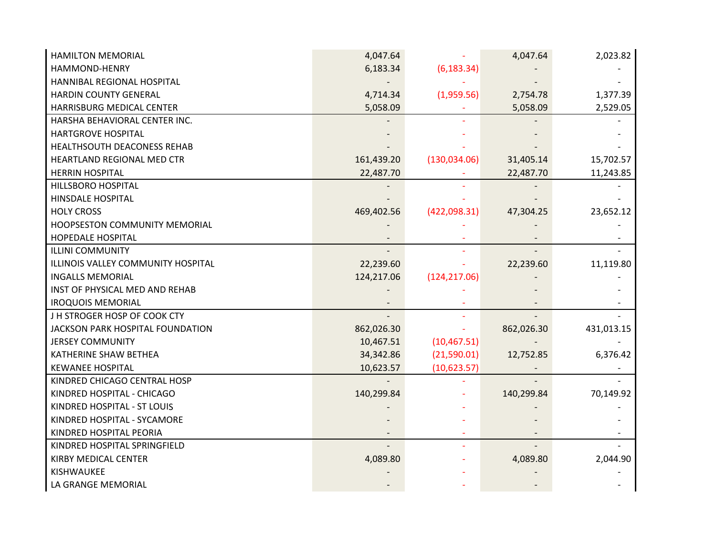| <b>HAMILTON MEMORIAL</b>           | 4,047.64   |               | 4,047.64   | 2,023.82   |
|------------------------------------|------------|---------------|------------|------------|
| HAMMOND-HENRY                      | 6,183.34   | (6, 183.34)   |            |            |
| HANNIBAL REGIONAL HOSPITAL         |            |               |            |            |
| <b>HARDIN COUNTY GENERAL</b>       | 4,714.34   | (1,959.56)    | 2,754.78   | 1,377.39   |
| HARRISBURG MEDICAL CENTER          | 5,058.09   |               | 5,058.09   | 2,529.05   |
| HARSHA BEHAVIORAL CENTER INC.      |            |               |            |            |
| <b>HARTGROVE HOSPITAL</b>          |            |               |            |            |
| HEALTHSOUTH DEACONESS REHAB        |            |               |            |            |
| HEARTLAND REGIONAL MED CTR         | 161,439.20 | (130, 034.06) | 31,405.14  | 15,702.57  |
| <b>HERRIN HOSPITAL</b>             | 22,487.70  |               | 22,487.70  | 11,243.85  |
| <b>HILLSBORO HOSPITAL</b>          |            |               |            |            |
| <b>HINSDALE HOSPITAL</b>           |            |               |            |            |
| <b>HOLY CROSS</b>                  | 469,402.56 | (422,098.31)  | 47,304.25  | 23,652.12  |
| HOOPSESTON COMMUNITY MEMORIAL      |            |               |            |            |
| <b>HOPEDALE HOSPITAL</b>           |            |               |            |            |
| <b>ILLINI COMMUNITY</b>            |            |               |            |            |
| ILLINOIS VALLEY COMMUNITY HOSPITAL | 22,239.60  |               | 22,239.60  | 11,119.80  |
| <b>INGALLS MEMORIAL</b>            | 124,217.06 | (124, 217.06) |            |            |
| INST OF PHYSICAL MED AND REHAB     |            |               |            |            |
| <b>IROQUOIS MEMORIAL</b>           |            |               |            |            |
| J H STROGER HOSP OF COOK CTY       |            |               |            |            |
| JACKSON PARK HOSPITAL FOUNDATION   | 862,026.30 |               | 862,026.30 | 431,013.15 |
| <b>JERSEY COMMUNITY</b>            | 10,467.51  | (10, 467.51)  |            |            |
| KATHERINE SHAW BETHEA              | 34,342.86  | (21,590.01)   | 12,752.85  | 6,376.42   |
| <b>KEWANEE HOSPITAL</b>            | 10,623.57  | (10,623.57)   |            |            |
| KINDRED CHICAGO CENTRAL HOSP       |            |               |            |            |
| KINDRED HOSPITAL - CHICAGO         | 140,299.84 |               | 140,299.84 | 70,149.92  |
| KINDRED HOSPITAL - ST LOUIS        |            |               |            |            |
| KINDRED HOSPITAL - SYCAMORE        |            |               |            |            |
| KINDRED HOSPITAL PEORIA            |            |               |            |            |
| KINDRED HOSPITAL SPRINGFIELD       |            |               |            |            |
| <b>KIRBY MEDICAL CENTER</b>        | 4,089.80   |               | 4,089.80   | 2,044.90   |
| KISHWAUKEE                         |            |               |            |            |
| LA GRANGE MEMORIAL                 |            |               |            |            |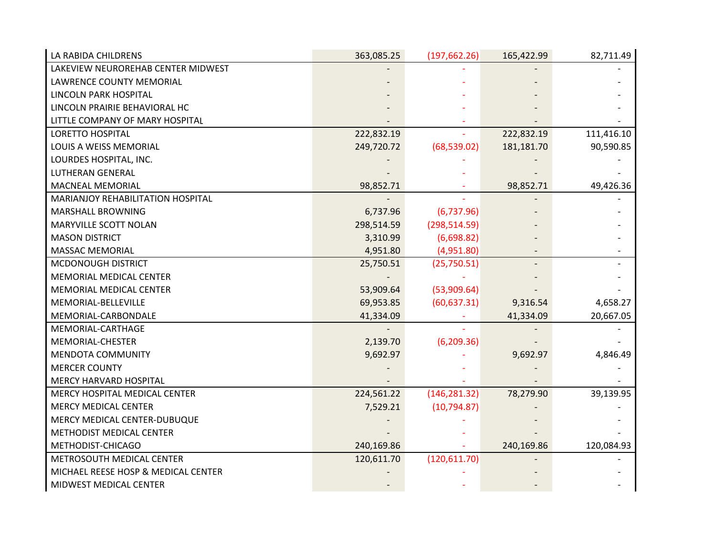| LA RABIDA CHILDRENS                 | 363,085.25 | (197, 662.26) | 165,422.99 | 82,711.49  |
|-------------------------------------|------------|---------------|------------|------------|
| LAKEVIEW NEUROREHAB CENTER MIDWEST  |            |               |            |            |
| LAWRENCE COUNTY MEMORIAL            |            |               |            |            |
| LINCOLN PARK HOSPITAL               |            |               |            |            |
| LINCOLN PRAIRIE BEHAVIORAL HC       |            |               |            |            |
| LITTLE COMPANY OF MARY HOSPITAL     |            |               |            |            |
| <b>LORETTO HOSPITAL</b>             | 222,832.19 |               | 222,832.19 | 111,416.10 |
| LOUIS A WEISS MEMORIAL              | 249,720.72 | (68, 539.02)  | 181,181.70 | 90,590.85  |
| LOURDES HOSPITAL, INC.              |            |               |            |            |
| <b>LUTHERAN GENERAL</b>             |            |               |            |            |
| <b>MACNEAL MEMORIAL</b>             | 98,852.71  |               | 98,852.71  | 49,426.36  |
| MARIANJOY REHABILITATION HOSPITAL   |            |               |            |            |
| <b>MARSHALL BROWNING</b>            | 6,737.96   | (6,737.96)    |            |            |
| <b>MARYVILLE SCOTT NOLAN</b>        | 298,514.59 | (298, 514.59) |            |            |
| <b>MASON DISTRICT</b>               | 3,310.99   | (6,698.82)    |            |            |
| <b>MASSAC MEMORIAL</b>              | 4,951.80   | (4,951.80)    |            |            |
| MCDONOUGH DISTRICT                  | 25,750.51  | (25,750.51)   |            |            |
| MEMORIAL MEDICAL CENTER             |            |               |            |            |
| MEMORIAL MEDICAL CENTER             | 53,909.64  | (53,909.64)   |            |            |
| MEMORIAL-BELLEVILLE                 | 69,953.85  | (60, 637.31)  | 9,316.54   | 4,658.27   |
| MEMORIAL-CARBONDALE                 | 41,334.09  |               | 41,334.09  | 20,667.05  |
| MEMORIAL-CARTHAGE                   |            |               |            |            |
| MEMORIAL-CHESTER                    | 2,139.70   | (6, 209.36)   |            |            |
| <b>MENDOTA COMMUNITY</b>            | 9,692.97   |               | 9,692.97   | 4,846.49   |
| <b>MERCER COUNTY</b>                |            |               |            |            |
| <b>MERCY HARVARD HOSPITAL</b>       |            |               |            |            |
| MERCY HOSPITAL MEDICAL CENTER       | 224,561.22 | (146, 281.32) | 78,279.90  | 39,139.95  |
| <b>MERCY MEDICAL CENTER</b>         | 7,529.21   | (10, 794.87)  |            |            |
| MERCY MEDICAL CENTER-DUBUQUE        |            |               |            |            |
| METHODIST MEDICAL CENTER            |            |               |            |            |
| METHODIST-CHICAGO                   | 240,169.86 |               | 240,169.86 | 120,084.93 |
| METROSOUTH MEDICAL CENTER           | 120,611.70 | (120, 611.70) |            |            |
| MICHAEL REESE HOSP & MEDICAL CENTER |            |               |            |            |
| MIDWEST MEDICAL CENTER              |            |               |            |            |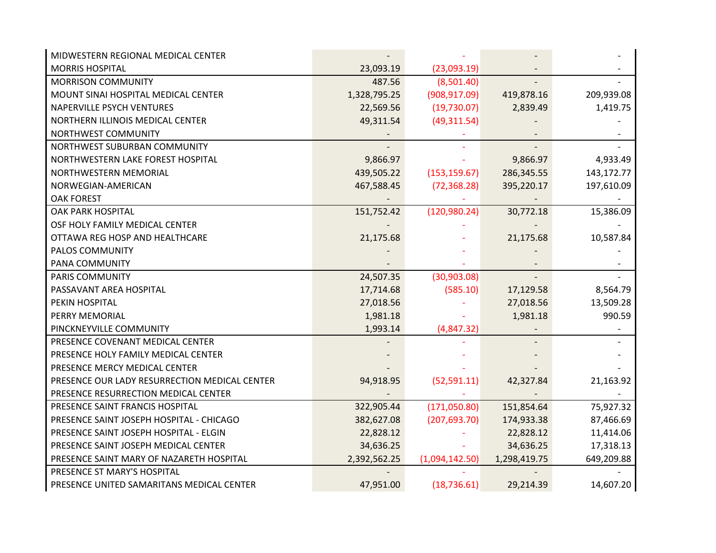| MIDWESTERN REGIONAL MEDICAL CENTER            |              |                |              |            |
|-----------------------------------------------|--------------|----------------|--------------|------------|
| <b>MORRIS HOSPITAL</b>                        | 23,093.19    | (23,093.19)    |              |            |
| <b>MORRISON COMMUNITY</b>                     | 487.56       | (8,501.40)     |              |            |
| MOUNT SINAI HOSPITAL MEDICAL CENTER           | 1,328,795.25 | (908, 917.09)  | 419,878.16   | 209,939.08 |
| <b>NAPERVILLE PSYCH VENTURES</b>              | 22,569.56    | (19,730.07)    | 2,839.49     | 1,419.75   |
| NORTHERN ILLINOIS MEDICAL CENTER              | 49,311.54    | (49,311.54)    |              |            |
| NORTHWEST COMMUNITY                           |              |                |              |            |
| NORTHWEST SUBURBAN COMMUNITY                  |              |                |              |            |
| NORTHWESTERN LAKE FOREST HOSPITAL             | 9,866.97     |                | 9,866.97     | 4,933.49   |
| NORTHWESTERN MEMORIAL                         | 439,505.22   | (153, 159.67)  | 286,345.55   | 143,172.77 |
| NORWEGIAN-AMERICAN                            | 467,588.45   | (72, 368.28)   | 395,220.17   | 197,610.09 |
| <b>OAK FOREST</b>                             |              |                |              |            |
| <b>OAK PARK HOSPITAL</b>                      | 151,752.42   | (120, 980.24)  | 30,772.18    | 15,386.09  |
| OSF HOLY FAMILY MEDICAL CENTER                |              |                |              |            |
| OTTAWA REG HOSP AND HEALTHCARE                | 21,175.68    |                | 21,175.68    | 10,587.84  |
| PALOS COMMUNITY                               |              |                |              |            |
| PANA COMMUNITY                                |              |                |              |            |
| <b>PARIS COMMUNITY</b>                        | 24,507.35    | (30,903.08)    |              |            |
| PASSAVANT AREA HOSPITAL                       | 17,714.68    | (585.10)       | 17,129.58    | 8,564.79   |
| PEKIN HOSPITAL                                | 27,018.56    |                | 27,018.56    | 13,509.28  |
| PERRY MEMORIAL                                | 1,981.18     |                | 1,981.18     | 990.59     |
| PINCKNEYVILLE COMMUNITY                       | 1,993.14     | (4,847.32)     |              |            |
| PRESENCE COVENANT MEDICAL CENTER              |              |                |              |            |
| PRESENCE HOLY FAMILY MEDICAL CENTER           |              |                |              |            |
| PRESENCE MERCY MEDICAL CENTER                 |              |                |              |            |
| PRESENCE OUR LADY RESURRECTION MEDICAL CENTER | 94,918.95    | (52, 591.11)   | 42,327.84    | 21,163.92  |
| PRESENCE RESURRECTION MEDICAL CENTER          |              |                |              |            |
| PRESENCE SAINT FRANCIS HOSPITAL               | 322,905.44   | (171,050.80)   | 151,854.64   | 75,927.32  |
| PRESENCE SAINT JOSEPH HOSPITAL - CHICAGO      | 382,627.08   | (207, 693.70)  | 174,933.38   | 87,466.69  |
| PRESENCE SAINT JOSEPH HOSPITAL - ELGIN        | 22,828.12    |                | 22,828.12    | 11,414.06  |
| PRESENCE SAINT JOSEPH MEDICAL CENTER          | 34,636.25    |                | 34,636.25    | 17,318.13  |
| PRESENCE SAINT MARY OF NAZARETH HOSPITAL      | 2,392,562.25 | (1,094,142.50) | 1,298,419.75 | 649,209.88 |
| PRESENCE ST MARY'S HOSPITAL                   |              |                |              |            |
| PRESENCE UNITED SAMARITANS MEDICAL CENTER     | 47,951.00    | (18, 736.61)   | 29,214.39    | 14,607.20  |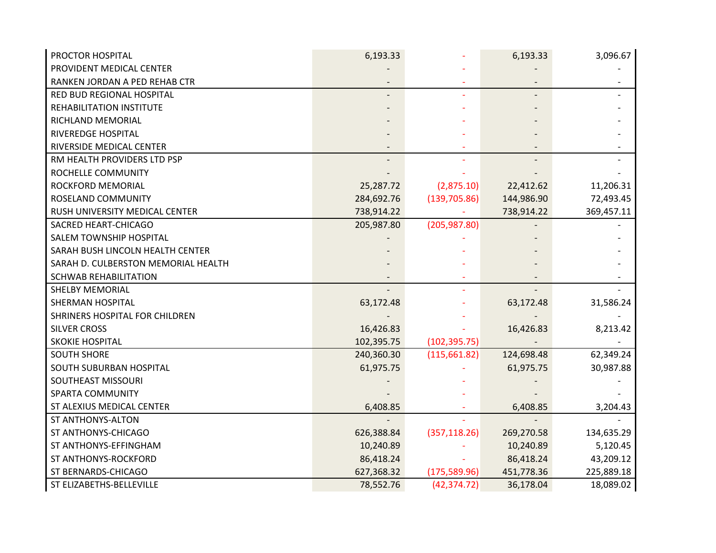| PROCTOR HOSPITAL                    | 6,193.33   |               | 6,193.33   | 3,096.67   |
|-------------------------------------|------------|---------------|------------|------------|
| PROVIDENT MEDICAL CENTER            |            |               |            |            |
| RANKEN JORDAN A PED REHAB CTR       |            |               |            |            |
| RED BUD REGIONAL HOSPITAL           |            |               |            |            |
| REHABILITATION INSTITUTE            |            |               |            |            |
| RICHLAND MEMORIAL                   |            |               |            |            |
| RIVEREDGE HOSPITAL                  |            |               |            |            |
| RIVERSIDE MEDICAL CENTER            |            |               |            |            |
| RM HEALTH PROVIDERS LTD PSP         |            |               |            |            |
| ROCHELLE COMMUNITY                  |            |               |            |            |
| ROCKFORD MEMORIAL                   | 25,287.72  | (2,875.10)    | 22,412.62  | 11,206.31  |
| <b>ROSELAND COMMUNITY</b>           | 284,692.76 | (139, 705.86) | 144,986.90 | 72,493.45  |
| RUSH UNIVERSITY MEDICAL CENTER      | 738,914.22 |               | 738,914.22 | 369,457.11 |
| SACRED HEART-CHICAGO                | 205,987.80 | (205, 987.80) |            |            |
| SALEM TOWNSHIP HOSPITAL             |            |               |            |            |
| SARAH BUSH LINCOLN HEALTH CENTER    |            |               |            |            |
| SARAH D. CULBERSTON MEMORIAL HEALTH |            |               |            |            |
| <b>SCHWAB REHABILITATION</b>        |            |               |            |            |
| <b>SHELBY MEMORIAL</b>              |            |               |            |            |
| <b>SHERMAN HOSPITAL</b>             | 63,172.48  |               | 63,172.48  | 31,586.24  |
| SHRINERS HOSPITAL FOR CHILDREN      |            |               |            |            |
| <b>SILVER CROSS</b>                 | 16,426.83  |               | 16,426.83  | 8,213.42   |
| SKOKIE HOSPITAL                     | 102,395.75 | (102, 395.75) |            |            |
| <b>SOUTH SHORE</b>                  | 240,360.30 | (115, 661.82) | 124,698.48 | 62,349.24  |
| SOUTH SUBURBAN HOSPITAL             | 61,975.75  |               | 61,975.75  | 30,987.88  |
| SOUTHEAST MISSOURI                  |            |               |            |            |
| <b>SPARTA COMMUNITY</b>             |            |               |            |            |
| ST ALEXIUS MEDICAL CENTER           | 6,408.85   |               | 6,408.85   | 3,204.43   |
| <b>ST ANTHONYS-ALTON</b>            |            |               |            |            |
| ST ANTHONYS-CHICAGO                 | 626,388.84 | (357, 118.26) | 269,270.58 | 134,635.29 |
| ST ANTHONYS-EFFINGHAM               | 10,240.89  |               | 10,240.89  | 5,120.45   |
| ST ANTHONYS-ROCKFORD                | 86,418.24  |               | 86,418.24  | 43,209.12  |
| ST BERNARDS-CHICAGO                 | 627,368.32 | (175, 589.96) | 451,778.36 | 225,889.18 |
| ST ELIZABETHS-BELLEVILLE            | 78,552.76  | (42, 374.72)  | 36,178.04  | 18,089.02  |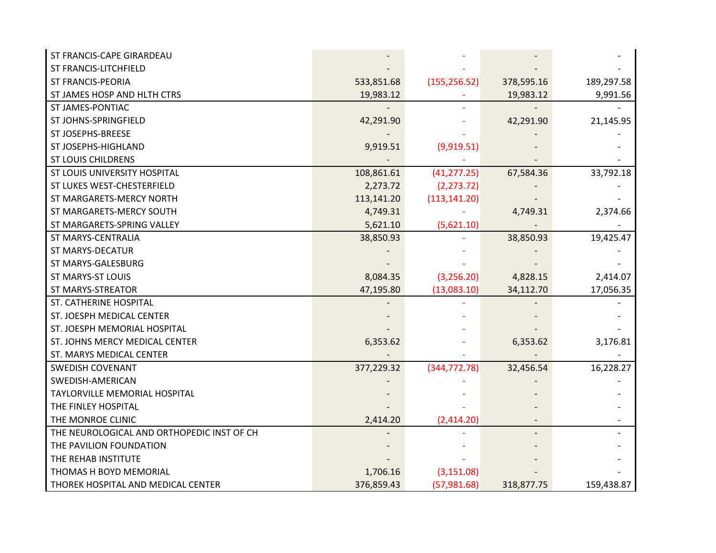| ST FRANCIS-CAPE GIRARDEAU                  |            |               |            |            |
|--------------------------------------------|------------|---------------|------------|------------|
| ST FRANCIS-LITCHFIELD                      |            |               |            |            |
| <b>ST FRANCIS-PEORIA</b>                   | 533,851.68 | (155, 256.52) | 378,595.16 | 189,297.58 |
| ST JAMES HOSP AND HLTH CTRS                | 19,983.12  |               | 19,983.12  | 9,991.56   |
| ST JAMES-PONTIAC                           |            |               |            |            |
| ST JOHNS-SPRINGFIELD                       | 42,291.90  |               | 42,291.90  | 21,145.95  |
| ST JOSEPHS-BREESE                          |            |               |            |            |
| ST JOSEPHS-HIGHLAND                        | 9,919.51   | (9,919.51)    |            |            |
| <b>ST LOUIS CHILDRENS</b>                  |            |               |            |            |
| ST LOUIS UNIVERSITY HOSPITAL               | 108,861.61 | (41, 277.25)  | 67,584.36  | 33,792.18  |
| ST LUKES WEST-CHESTERFIELD                 | 2,273.72   | (2, 273.72)   |            |            |
| ST MARGARETS-MERCY NORTH                   | 113,141.20 | (113, 141.20) |            |            |
| ST MARGARETS-MERCY SOUTH                   | 4,749.31   |               | 4,749.31   | 2,374.66   |
| ST MARGARETS-SPRING VALLEY                 | 5,621.10   | (5,621.10)    |            |            |
| <b>ST MARYS-CENTRALIA</b>                  | 38,850.93  |               | 38,850.93  | 19,425.47  |
| <b>ST MARYS-DECATUR</b>                    |            |               |            |            |
| ST MARYS-GALESBURG                         |            |               |            |            |
| <b>ST MARYS-ST LOUIS</b>                   | 8,084.35   | (3,256.20)    | 4,828.15   | 2,414.07   |
| <b>ST MARYS-STREATOR</b>                   | 47,195.80  | (13,083.10)   | 34,112.70  | 17,056.35  |
| ST. CATHERINE HOSPITAL                     |            |               |            |            |
| ST. JOESPH MEDICAL CENTER                  |            |               |            |            |
| ST. JOESPH MEMORIAL HOSPITAL               |            |               |            |            |
| ST. JOHNS MERCY MEDICAL CENTER             | 6,353.62   |               | 6,353.62   | 3,176.81   |
| ST. MARYS MEDICAL CENTER                   |            |               |            |            |
| <b>SWEDISH COVENANT</b>                    | 377,229.32 | (344, 772.78) | 32,456.54  | 16,228.27  |
| SWEDISH-AMERICAN                           |            |               |            |            |
| <b>TAYLORVILLE MEMORIAL HOSPITAL</b>       |            |               |            |            |
| THE FINLEY HOSPITAL                        |            |               |            |            |
| THE MONROE CLINIC                          | 2,414.20   | (2,414.20)    |            |            |
| THE NEUROLOGICAL AND ORTHOPEDIC INST OF CH |            |               |            |            |
| THE PAVILION FOUNDATION                    |            |               |            |            |
| THE REHAB INSTITUTE                        |            |               |            |            |
| THOMAS H BOYD MEMORIAL                     | 1,706.16   | (3, 151.08)   |            |            |
| THOREK HOSPITAL AND MEDICAL CENTER         | 376,859.43 | (57, 981.68)  | 318,877.75 | 159,438.87 |